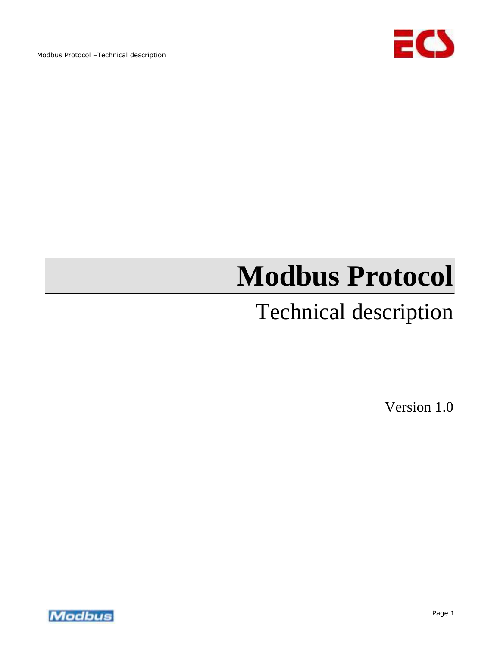

# **Modbus Protocol**

# Technical description

Version 1.0

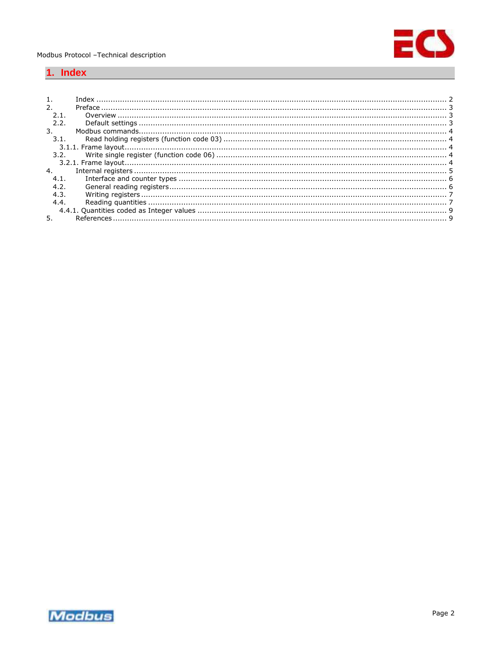

# <span id="page-1-0"></span>1. Index

| 2.1            |      |  |
|----------------|------|--|
|                | 2.2. |  |
| 3.             |      |  |
|                | 3.1. |  |
|                |      |  |
|                | 3.2. |  |
|                |      |  |
| $\overline{4}$ |      |  |
|                | 4.1. |  |
| 4.2.           |      |  |
|                | 4.3. |  |
| 4.4.           |      |  |
|                |      |  |
|                |      |  |

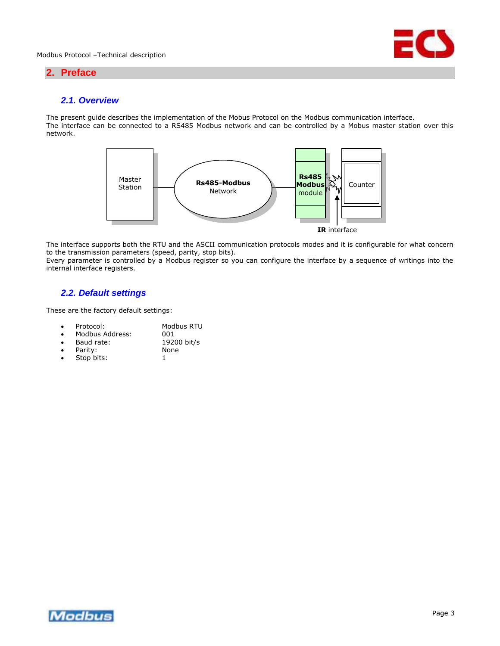

# <span id="page-2-0"></span>**2. Preface**

# <span id="page-2-1"></span>*2.1. Overview*

The present guide describes the implementation of the Mobus Protocol on the Modbus communication interface. The interface can be connected to a RS485 Modbus network and can be controlled by a Mobus master station over this network.



The interface supports both the RTU and the ASCII communication protocols modes and it is configurable for what concern to the transmission parameters (speed, parity, stop bits).

Every parameter is controlled by a Modbus register so you can configure the interface by a sequence of writings into the internal interface registers.

# <span id="page-2-2"></span>*2.2. Default settings*

These are the factory default settings:

| <b>Drotocol:</b> | Modhue PTL |
|------------------|------------|

- Modbus RTU<br>001  $\bullet$  Modbus Address:
- Baud rate: 19200 bit/s
- Parity: None<br>• Stop bits: 1
- Stop bits:

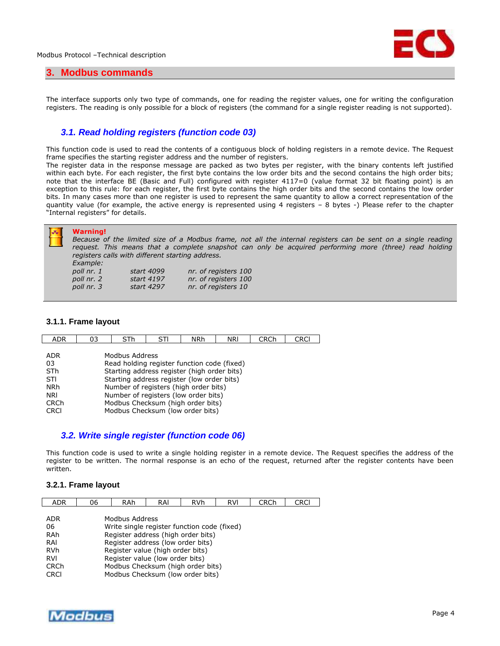

### <span id="page-3-0"></span>**3. Modbus commands**

The interface supports only two type of commands, one for reading the register values, one for writing the configuration registers. The reading is only possible for a block of registers (the command for a single register reading is not supported).

# <span id="page-3-1"></span>*3.1. Read holding registers (function code 03)*

This function code is used to read the contents of a contiguous block of holding registers in a remote device. The Request frame specifies the starting register address and the number of registers.

The register data in the response message are packed as two bytes per register, with the binary contents left justified within each byte. For each register, the first byte contains the low order bits and the second contains the high order bits; note that the interface BE (Basic and Full) configured with register 4117=0 (value format 32 bit floating point) is an exception to this rule: for each register, the first byte contains the high order bits and the second contains the low order bits. In many cases more than one register is used to represent the same quantity to allow a correct representation of the quantity value (for example, the active energy is represented using 4 registers – 8 bytes -) Please refer to the chapter "Internal registers" for details.

#### <span id="page-3-2"></span>**3.1.1. Frame layout**

| Starting address register (high order bits) |  |  |  |  |  |  |  |  |  |
|---------------------------------------------|--|--|--|--|--|--|--|--|--|
|                                             |  |  |  |  |  |  |  |  |  |
| Number of registers (high order bits)       |  |  |  |  |  |  |  |  |  |
| Number of registers (low order bits)        |  |  |  |  |  |  |  |  |  |
| Modbus Checksum (high order bits)           |  |  |  |  |  |  |  |  |  |
| Modbus Checksum (low order bits)            |  |  |  |  |  |  |  |  |  |
|                                             |  |  |  |  |  |  |  |  |  |

# <span id="page-3-3"></span>*3.2. Write single register (function code 06)*

This function code is used to write a single holding register in a remote device. The Request specifies the address of the register to be written. The normal response is an echo of the request, returned after the register contents have been written.

## <span id="page-3-4"></span>**3.2.1. Frame layout**

| <b>ADR</b>                 | 06                                                                                                  | RAh | RAI | <b>RVh</b> | <b>RVI</b> | <b>CRCh</b> | CRCI |  |  |
|----------------------------|-----------------------------------------------------------------------------------------------------|-----|-----|------------|------------|-------------|------|--|--|
| <b>ADR</b><br>06<br>RAh    | Modbus Address<br>Write single register function code (fixed)<br>Register address (high order bits) |     |     |            |            |             |      |  |  |
| RAI                        | Register address (low order bits)                                                                   |     |     |            |            |             |      |  |  |
| <b>RVh</b>                 | Register value (high order bits)                                                                    |     |     |            |            |             |      |  |  |
| <b>RVI</b>                 | Register value (low order bits)                                                                     |     |     |            |            |             |      |  |  |
| <b>CRCh</b><br><b>CRCI</b> | Modbus Checksum (high order bits)<br>Modbus Checksum (low order bits)                               |     |     |            |            |             |      |  |  |

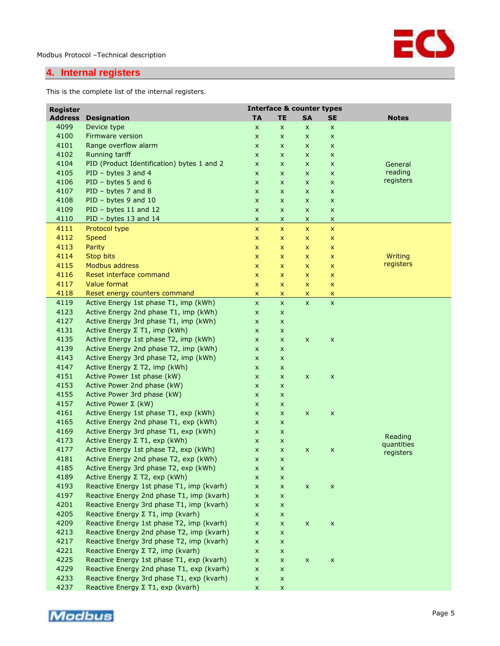

# <span id="page-4-0"></span>**4. Internal registers**

This is the complete list of the internal registers.

| <b>Register</b> |                                            | <b>Interface &amp; counter types</b> |                |                           |                    |              |
|-----------------|--------------------------------------------|--------------------------------------|----------------|---------------------------|--------------------|--------------|
| <b>Address</b>  | <b>Designation</b>                         | <b>TA</b>                            | <b>TE</b>      | <b>SA</b>                 | SE                 | <b>Notes</b> |
| 4099            | Device type                                | $\pmb{\times}$                       | $\pmb{\times}$ | X                         | $\pmb{\mathsf{x}}$ |              |
| 4100            | <b>Firmware version</b>                    | $\pmb{\times}$                       | $\pmb{\times}$ | x                         | $\pmb{\times}$     |              |
| 4101            | Range overflow alarm                       | $\pmb{\times}$                       | X              | x                         | $\pmb{\times}$     |              |
| 4102            | Running tariff                             | X                                    | $\pmb{\times}$ | X                         | $\pmb{\times}$     |              |
| 4104            | PID (Product Identification) bytes 1 and 2 | X                                    | $\pmb{\times}$ | X                         | $\pmb{\times}$     | General      |
| 4105            | PID - bytes 3 and 4                        | $\pmb{\times}$                       | $\pmb{\times}$ | X                         | $\pmb{\times}$     | reading      |
| 4106            | $PID - bytes 5 and 6$                      | $\pmb{\times}$                       | $\pmb{\times}$ | x                         | $\pmb{\times}$     | registers    |
| 4107            | PID - bytes 7 and 8                        | $\pmb{\times}$                       | $\pmb{\times}$ | x                         | $\pmb{\times}$     |              |
| 4108            | PID - bytes 9 and 10                       | $\pmb{\times}$                       | X              | x                         | $\pmb{\times}$     |              |
| 4109            | PID - bytes 11 and 12                      | $\pmb{\times}$                       | $\pmb{\times}$ | x                         | $\pmb{\times}$     |              |
| 4110            | PID - bytes 13 and 14                      | X                                    | X              | x                         | $\pmb{\times}$     |              |
| 4111            | Protocol type                              | $\pmb{\mathsf{x}}$                   | $\pmb{\times}$ | $\pmb{\times}$            | $\pmb{\mathsf{x}}$ |              |
| 4112            | <b>Speed</b>                               | X                                    | x              | x                         | x                  |              |
| 4113            | Parity                                     | X                                    | X              | X.                        | $\pmb{\mathsf{x}}$ |              |
| 4114            | <b>Stop bits</b>                           | X                                    | X              | X                         | x                  | Writing      |
| 4115            | Modbus address                             | $\pmb{\times}$                       | $\pmb{\times}$ | x                         | $\pmb{\mathsf{x}}$ | registers    |
| 4116            | Reset interface command                    | $\pmb{\mathsf{x}}$                   | $\pmb{\times}$ | X                         | $\pmb{\mathsf{x}}$ |              |
| 4117            | Value format                               | $\pmb{\times}$                       | $\pmb{\times}$ | x                         | $\pmb{\mathsf{x}}$ |              |
| 4118            | Reset energy counters command              | $\pmb{\mathsf{x}}$                   | $\pmb{\times}$ | $\overline{\mathsf{x}}$   | $\mathsf{x}$       |              |
| 4119            | Active Energy 1st phase T1, imp (kWh)      | $\pmb{\mathsf{X}}$                   | $\pmb{\times}$ | $\pmb{\times}$            | $\pmb{\mathsf{x}}$ |              |
| 4123            | Active Energy 2nd phase T1, imp (kWh)      | $\pmb{\times}$                       | $\pmb{\times}$ |                           |                    |              |
| 4127            | Active Energy 3rd phase T1, imp (kWh)      | $\pmb{\times}$                       | X              |                           |                    |              |
| 4131            | Active Energy Σ T1, imp (kWh)              | X                                    | X              |                           |                    |              |
| 4135            | Active Energy 1st phase T2, imp (kWh)      | $\pmb{\times}$                       | $\pmb{\times}$ | X                         | $\pmb{\times}$     |              |
| 4139            | Active Energy 2nd phase T2, imp (kWh)      | $\pmb{\times}$                       | $\pmb{\times}$ |                           |                    |              |
| 4143            | Active Energy 3rd phase T2, imp (kWh)      | $\pmb{\times}$                       | X              |                           |                    |              |
| 4147            | Active Energy Σ T2, imp (kWh)              | X                                    | X              |                           |                    |              |
| 4151            | Active Power 1st phase (kW)                | X                                    | X              | X                         | $\pmb{\times}$     |              |
| 4153            | Active Power 2nd phase (kW)                | $\pmb{\times}$                       | X              |                           |                    |              |
| 4155            | Active Power 3rd phase (kW)                | X                                    | X              |                           |                    |              |
| 4157            | Active Power $\Sigma$ (kW)                 | X                                    | X              |                           |                    |              |
| 4161            | Active Energy 1st phase T1, exp (kWh)      | X                                    | $\pmb{\times}$ | $\pmb{\mathsf{X}}$        | $\pmb{\times}$     |              |
| 4165            | Active Energy 2nd phase T1, exp (kWh)      | $\pmb{\times}$                       | $\pmb{\times}$ |                           |                    |              |
| 4169            | Active Energy 3rd phase T1, exp (kWh)      | $\pmb{\times}$                       | $\pmb{\times}$ |                           |                    |              |
| 4173            | Active Energy Σ T1, exp (kWh)              | X                                    | X              |                           |                    | Reading      |
| 4177            | Active Energy 1st phase T2, exp (kWh)      | $\pmb{\times}$                       | $\pmb{\times}$ | $\pmb{\mathsf{x}}$        | $\pmb{\times}$     | quantities   |
| 4181            | Active Energy 2nd phase T2, exp (kWh)      | $\pmb{\times}$                       | $\pmb{\times}$ |                           |                    | registers    |
| 4185            | Active Energy 3rd phase T2, exp (kWh)      | X                                    | X              |                           |                    |              |
| 4189            | Active Energy $\Sigma$ T2, exp (kWh)       | $\pmb{\times}$                       | X              |                           |                    |              |
| 4193            | Reactive Energy 1st phase T1, imp (kvarh)  | $\pmb{\times}$                       | $\pmb{\times}$ | $\boldsymbol{\mathsf{x}}$ | $\pmb{\times}$     |              |
| 4197            | Reactive Energy 2nd phase T1, imp (kvarh)  | $\pmb{\times}$                       | $\pmb{\times}$ |                           |                    |              |
| 4201            | Reactive Energy 3rd phase T1, imp (kvarh)  | $\pmb{\times}$                       | $\pmb{\times}$ |                           |                    |              |
| 4205            | Reactive Energy Σ T1, imp (kvarh)          | $\pmb{\times}$                       | $\pmb{\times}$ |                           |                    |              |
| 4209            | Reactive Energy 1st phase T2, imp (kvarh)  | $\pmb{\times}$                       | $\pmb{\times}$ | $\mathsf X$               | $\pmb{\times}$     |              |
| 4213            | Reactive Energy 2nd phase T2, imp (kvarh)  | $\pmb{\times}$                       | $\pmb{\times}$ |                           |                    |              |
| 4217            | Reactive Energy 3rd phase T2, imp (kvarh)  | $\pmb{\times}$                       | X              |                           |                    |              |
| 4221            | Reactive Energy Σ T2, imp (kvarh)          | X                                    | X              |                           |                    |              |
| 4225            | Reactive Energy 1st phase T1, exp (kvarh)  | $\pmb{\times}$                       | $\pmb{\times}$ | $\pmb{\mathsf{X}}$        | $\pmb{\times}$     |              |
| 4229            | Reactive Energy 2nd phase T1, exp (kvarh)  | $\pmb{\times}$                       | $\pmb{\times}$ |                           |                    |              |
| 4233            | Reactive Energy 3rd phase T1, exp (kvarh)  | $\pmb{\times}$                       | $\pmb{\times}$ |                           |                    |              |
| 4237            | Reactive Energy Σ T1, exp (kvarh)          | $\pmb{\mathsf{X}}$                   | $\pmb{\times}$ |                           |                    |              |
|                 |                                            |                                      |                |                           |                    |              |

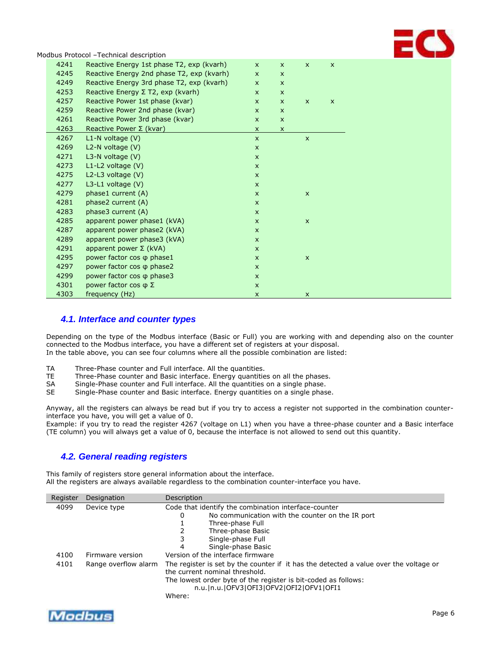

|      | Modbus Protocol -Technical description    |              |                    |                    |                |  |
|------|-------------------------------------------|--------------|--------------------|--------------------|----------------|--|
| 4241 | Reactive Energy 1st phase T2, exp (kvarh) | $\mathsf{x}$ | $\mathsf{x}$       | $\mathsf{x}$       | $\pmb{\times}$ |  |
| 4245 | Reactive Energy 2nd phase T2, exp (kvarh) | $\mathsf{x}$ | $\mathsf{x}$       |                    |                |  |
| 4249 | Reactive Energy 3rd phase T2, exp (kvarh) | $\mathsf{x}$ | $\mathsf{x}$       |                    |                |  |
| 4253 | Reactive Energy $\Sigma$ T2, exp (kvarh)  | $\mathsf{x}$ | $\mathsf{x}$       |                    |                |  |
| 4257 | Reactive Power 1st phase (kvar)           | $\mathsf{x}$ | $\mathsf{x}$       | $\mathsf{x}$       | $\mathsf{x}$   |  |
| 4259 | Reactive Power 2nd phase (kvar)           | $\mathsf{x}$ | $\mathsf{x}$       |                    |                |  |
| 4261 | Reactive Power 3rd phase (kvar)           | $\mathsf{x}$ | $\mathsf{x}$       |                    |                |  |
| 4263 | Reactive Power $\Sigma$ (kvar)            | $\mathsf{x}$ | $\pmb{\mathsf{X}}$ |                    |                |  |
| 4267 | $L1-N$ voltage $(V)$                      | $\mathsf{x}$ |                    | $\mathsf{x}$       |                |  |
| 4269 | $L2-N$ voltage $(V)$                      | $\mathsf{x}$ |                    |                    |                |  |
| 4271 | L3-N voltage $(V)$                        | $\mathsf{x}$ |                    |                    |                |  |
| 4273 | $L1-L2$ voltage $(V)$                     | $\mathsf{x}$ |                    |                    |                |  |
| 4275 | L2-L3 voltage $(V)$                       | $\mathsf{x}$ |                    |                    |                |  |
| 4277 | $L3-L1$ voltage $(V)$                     | $\mathsf{x}$ |                    |                    |                |  |
| 4279 | phase1 current (A)                        | $\mathsf{x}$ |                    | $\mathsf{x}$       |                |  |
| 4281 | phase2 current (A)                        | $\mathsf{x}$ |                    |                    |                |  |
| 4283 | phase3 current (A)                        | $\mathsf{x}$ |                    |                    |                |  |
| 4285 | apparent power phase1 (kVA)               | $\mathsf{x}$ |                    | $\pmb{\mathsf{X}}$ |                |  |
| 4287 | apparent power phase2 (kVA)               | $\mathsf{x}$ |                    |                    |                |  |
| 4289 | apparent power phase3 (kVA)               | $\mathsf{x}$ |                    |                    |                |  |
| 4291 | apparent power $\Sigma$ (kVA)             | $\mathsf{x}$ |                    |                    |                |  |
| 4295 | power factor cos $\varphi$ phase1         | $\mathsf{x}$ |                    | $\mathsf{x}$       |                |  |
| 4297 | power factor cos $\varphi$ phase2         | $\mathsf{x}$ |                    |                    |                |  |
| 4299 | power factor cos $\varphi$ phase3         | $\mathsf{x}$ |                    |                    |                |  |
| 4301 | power factor cos $\varphi$ Σ              | $\mathsf{x}$ |                    |                    |                |  |
| 4303 | frequency (Hz)                            | $\mathsf{x}$ |                    | $\mathsf{x}$       |                |  |

# <span id="page-5-0"></span>*4.1. Interface and counter types*

Depending on the type of the Modbus interface (Basic or Full) you are working with and depending also on the counter connected to the Modbus interface, you have a different set of registers at your disposal. In the table above, you can see four columns where all the possible combination are listed:

- TA Three-Phase counter and Full interface. All the quantities.<br>TE Three-Phase counter and Basic interface. Energy quantitie
- Three-Phase counter and Basic interface. Energy quantities on all the phases.
- SA Single-Phase counter and Full interface. All the quantities on a single phase.
- SE Single-Phase counter and Basic interface. Energy quantities on a single phase.

Anyway, all the registers can always be read but if you try to access a register not supported in the combination counterinterface you have, you will get a value of 0.

Example: if you try to read the register 4267 (voltage on L1) when you have a three-phase counter and a Basic interface (TE column) you will always get a value of 0, because the interface is not allowed to send out this quantity.

# <span id="page-5-1"></span>*4.2. General reading registers*

This family of registers store general information about the interface. All the registers are always available regardless to the combination counter-interface you have.

| Register | Designation          | Description                                                                                                                                                                               |  |  |  |  |
|----------|----------------------|-------------------------------------------------------------------------------------------------------------------------------------------------------------------------------------------|--|--|--|--|
| 4099     | Device type          | Code that identify the combination interface-counter                                                                                                                                      |  |  |  |  |
|          |                      | No communication with the counter on the IR port<br>0                                                                                                                                     |  |  |  |  |
|          |                      | Three-phase Full                                                                                                                                                                          |  |  |  |  |
|          |                      | Three-phase Basic                                                                                                                                                                         |  |  |  |  |
|          |                      | Single-phase Full                                                                                                                                                                         |  |  |  |  |
|          |                      | Single-phase Basic<br>4                                                                                                                                                                   |  |  |  |  |
| 4100     | Firmware version     | Version of the interface firmware                                                                                                                                                         |  |  |  |  |
| 4101     | Range overflow alarm | The register is set by the counter if it has the detected a value over the voltage or<br>the current nominal threshold.<br>The lowest order byte of the register is bit-coded as follows: |  |  |  |  |
|          |                      | n.u.   n.u.   OFV3   OFI3   OFV2   OFI2   OFV1   OFI1                                                                                                                                     |  |  |  |  |
|          |                      | Where:                                                                                                                                                                                    |  |  |  |  |

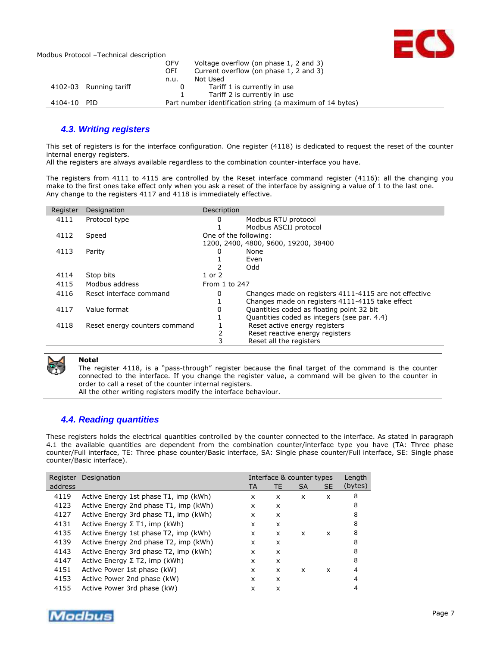

|                        | Voltage overflow (on phase 1, 2 and 3)<br><b>OFV</b>      |
|------------------------|-----------------------------------------------------------|
|                        | Current overflow (on phase 1, 2 and 3)<br><b>OFI</b>      |
|                        | Not Used<br>n.u.                                          |
| 4102-03 Running tariff | Tariff 1 is currently in use<br>0                         |
|                        | Tariff 2 is currently in use                              |
| 4104-10 PID            | Part number identification string (a maximum of 14 bytes) |

# <span id="page-6-0"></span>*4.3. Writing registers*

This set of registers is for the interface configuration. One register (4118) is dedicated to request the reset of the counter internal energy registers.

All the registers are always available regardless to the combination counter-interface you have.

The registers from 4111 to 4115 are controlled by the Reset interface command register (4116): all the changing you make to the first ones take effect only when you ask a reset of the interface by assigning a value of 1 to the last one. Any change to the registers 4117 and 4118 is immediately effective.

| Register | Designation                   | Description           |                                                       |
|----------|-------------------------------|-----------------------|-------------------------------------------------------|
| 4111     | Protocol type                 | 0                     | Modbus RTU protocol                                   |
|          |                               |                       | Modbus ASCII protocol                                 |
| 4112     | Speed                         | One of the following: |                                                       |
|          |                               |                       | 1200, 2400, 4800, 9600, 19200, 38400                  |
| 4113     | Parity                        | 0                     | None                                                  |
|          |                               |                       | Even                                                  |
|          |                               |                       | Odd                                                   |
| 4114     | Stop bits                     | 1 or 2                |                                                       |
| 4115     | Modbus address                | From 1 to 247         |                                                       |
| 4116     | Reset interface command       | 0                     | Changes made on registers 4111-4115 are not effective |
|          |                               |                       | Changes made on registers 4111-4115 take effect       |
| 4117     | Value format                  | 0                     | Quantities coded as floating point 32 bit             |
|          |                               |                       | Quantities coded as integers (see par. 4.4)           |
| 4118     | Reset energy counters command |                       | Reset active energy registers                         |
|          |                               | 2                     | Reset reactive energy registers                       |
|          |                               |                       | Reset all the registers                               |



#### **Note!**

The register 4118, is a "pass-through" register because the final target of the command is the counter connected to the interface. If you change the register value, a command will be given to the counter in order to call a reset of the counter internal registers.

All the other writing registers modify the interface behaviour.

# <span id="page-6-1"></span>*4.4. Reading quantities*

These registers holds the electrical quantities controlled by the counter connected to the interface. As stated in paragraph 4.1 the available quantities are dependent from the combination counter/interface type you have (TA: Three phase counter/Full interface, TE: Three phase counter/Basic interface, SA: Single phase counter/Full interface, SE: Single phase counter/Basic interface).

| Register | Designation                           |    | Interface & counter types |           |                           | Length  |
|----------|---------------------------------------|----|---------------------------|-----------|---------------------------|---------|
| address  |                                       | TA | TE                        | <b>SA</b> | <b>SE</b>                 | (bytes) |
| 4119     | Active Energy 1st phase T1, imp (kWh) | x  | x                         | x         | x                         | 8       |
| 4123     | Active Energy 2nd phase T1, imp (kWh) | x  | x                         |           |                           | 8       |
| 4127     | Active Energy 3rd phase T1, imp (kWh) | x  | x                         |           |                           | 8       |
| 4131     | Active Energy $\Sigma$ T1, imp (kWh)  | x  | x                         |           |                           | 8       |
| 4135     | Active Energy 1st phase T2, imp (kWh) | x  | x                         | x         | x                         | 8       |
| 4139     | Active Energy 2nd phase T2, imp (kWh) | x  | x                         |           |                           | 8       |
| 4143     | Active Energy 3rd phase T2, imp (kWh) | x  | x                         |           |                           | 8       |
| 4147     | Active Energy $\Sigma$ T2, imp (kWh)  | x  | x                         |           |                           | 8       |
| 4151     | Active Power 1st phase (kW)           | x  | x                         | x         | $\boldsymbol{\mathsf{x}}$ | 4       |
| 4153     | Active Power 2nd phase (kW)           | x  | x                         |           |                           | 4       |
| 4155     | Active Power 3rd phase (kW)           | x  | x                         |           |                           |         |

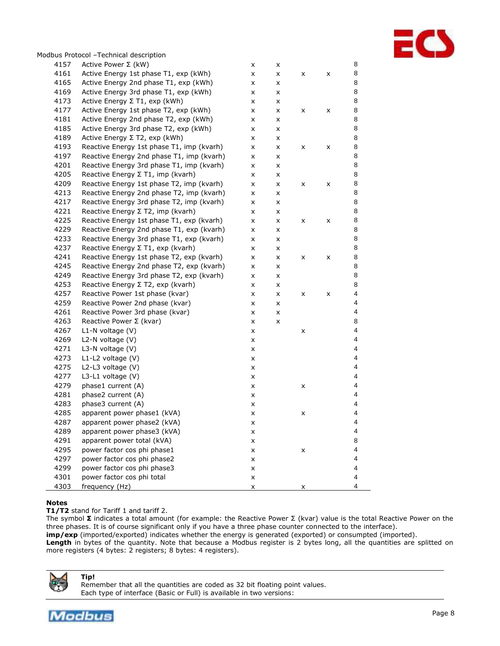

|      | Modbus Protocol -Technical description    |   |   |   |   |                         |
|------|-------------------------------------------|---|---|---|---|-------------------------|
| 4157 | Active Power $\Sigma$ (kW)                | x | x |   |   | 8                       |
| 4161 | Active Energy 1st phase T1, exp (kWh)     | x | x | x | X | 8                       |
| 4165 | Active Energy 2nd phase T1, exp (kWh)     | x | x |   |   | 8                       |
| 4169 | Active Energy 3rd phase T1, exp (kWh)     | x | x |   |   | 8                       |
| 4173 | Active Energy Σ T1, exp (kWh)             | x | x |   |   | 8                       |
| 4177 | Active Energy 1st phase T2, exp (kWh)     | x | x | x | X | 8                       |
| 4181 | Active Energy 2nd phase T2, exp (kWh)     | x | x |   |   | 8                       |
| 4185 | Active Energy 3rd phase T2, exp (kWh)     | x | x |   |   | 8                       |
| 4189 | Active Energy $\Sigma$ T2, exp (kWh)      | x | x |   |   | 8                       |
| 4193 | Reactive Energy 1st phase T1, imp (kvarh) | x | x | x | X | 8                       |
| 4197 | Reactive Energy 2nd phase T1, imp (kvarh) | x | x |   |   | 8                       |
| 4201 | Reactive Energy 3rd phase T1, imp (kvarh) | x | x |   |   | 8                       |
| 4205 | Reactive Energy ∑ T1, imp (kvarh)         | x | x |   |   | 8                       |
| 4209 | Reactive Energy 1st phase T2, imp (kvarh) | x | x | x | X | 8                       |
| 4213 | Reactive Energy 2nd phase T2, imp (kvarh) | x | x |   |   | 8                       |
| 4217 | Reactive Energy 3rd phase T2, imp (kvarh) | x | x |   |   | 8                       |
| 4221 | Reactive Energy Σ T2, imp (kvarh)         | x | x |   |   | 8                       |
| 4225 | Reactive Energy 1st phase T1, exp (kvarh) | x | x | x | X | 8                       |
| 4229 | Reactive Energy 2nd phase T1, exp (kvarh) | x | x |   |   | 8                       |
| 4233 | Reactive Energy 3rd phase T1, exp (kvarh) | x | x |   |   | 8                       |
| 4237 | Reactive Energy Σ T1, exp (kvarh)         | x | x |   |   | 8                       |
| 4241 | Reactive Energy 1st phase T2, exp (kvarh) | x | x | x | X | 8                       |
| 4245 | Reactive Energy 2nd phase T2, exp (kvarh) | x | x |   |   | 8                       |
| 4249 | Reactive Energy 3rd phase T2, exp (kvarh) | x | x |   |   | 8                       |
| 4253 | Reactive Energy Σ T2, exp (kvarh)         | x | x |   |   | 8                       |
| 4257 | Reactive Power 1st phase (kvar)           | x | x | x | X | 4                       |
| 4259 | Reactive Power 2nd phase (kvar)           | x | x |   |   | 4                       |
| 4261 | Reactive Power 3rd phase (kvar)           | x | x |   |   | $\overline{4}$          |
| 4263 | Reactive Power $\Sigma$ (kvar)            | x | x |   |   | 8                       |
| 4267 | $L1-N$ voltage $(V)$                      | x |   | x |   | 4                       |
| 4269 | L2-N voltage (V)                          | x |   |   |   | 4                       |
| 4271 | L3-N voltage (V)                          | x |   |   |   | 4                       |
| 4273 | L1-L2 voltage (V)                         | x |   |   |   | 4                       |
| 4275 | L2-L3 voltage (V)                         | x |   |   |   | 4                       |
| 4277 | L3-L1 voltage (V)                         | x |   |   |   | 4                       |
| 4279 | phase1 current (A)                        | x |   | x |   | 4                       |
| 4281 | phase2 current (A)                        | x |   |   |   | 4                       |
| 4283 | phase3 current (A)                        | x |   |   |   | 4                       |
| 4285 | apparent power phase1 (kVA)               | x |   | x |   | $\overline{\mathbf{4}}$ |
| 4287 | apparent power phase2 (kVA)               | x |   |   |   | 4                       |
| 4289 | apparent power phase3 (kVA)               | x |   |   |   | 4                       |
| 4291 | apparent power total (kVA)                | x |   |   |   | 8                       |
| 4295 | power factor cos phi phase1               | x |   | x |   | 4                       |
| 4297 | power factor cos phi phase2               | x |   |   |   | 4                       |
| 4299 | power factor cos phi phase3               | x |   |   |   | 4                       |
| 4301 | power factor cos phi total                | x |   |   |   | 4                       |
| 4303 | frequency (Hz)                            | x |   | x |   | 4                       |
|      |                                           |   |   |   |   |                         |

# **Notes**

**T1/T2** stand for Tariff 1 and tariff 2.

The symbol **Σ** indicates a total amount (for example: the Reactive Power Σ (kvar) value is the total Reactive Power on the three phases. It is of course significant only if you have a three phase counter connected to the interface). **imp/exp** (imported/exported) indicates whether the energy is generated (exported) or consumpted (imported). Length in bytes of the quantity. Note that because a Modbus register is 2 bytes long, all the quantities are splitted on more registers (4 bytes: 2 registers; 8 bytes: 4 registers).



**Tip!** Remember that all the quantities are coded as 32 bit floating point values. Each type of interface (Basic or Full) is available in two versions: